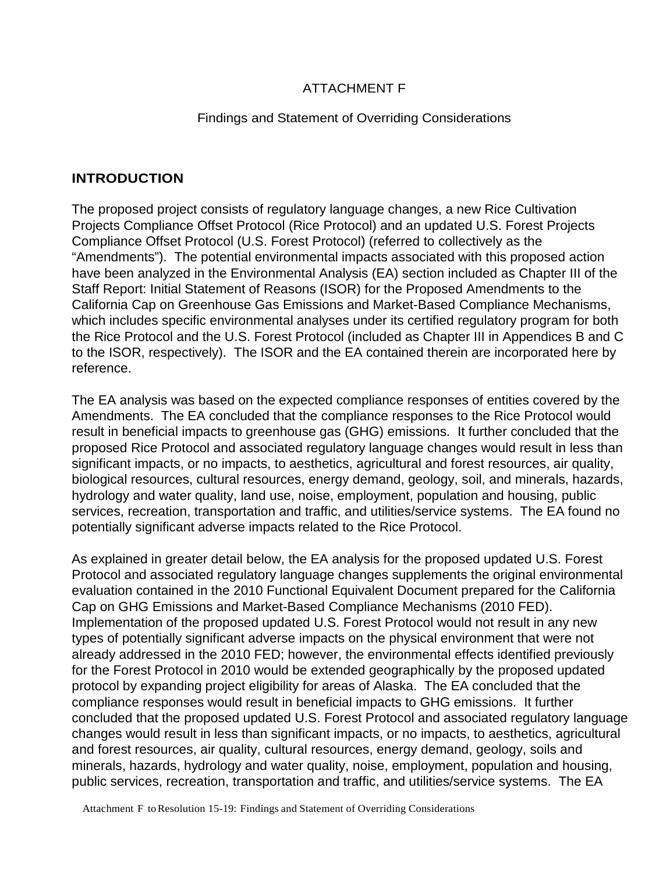## ATTACHMENT F

#### Findings and Statement of Overriding Considerations

## **INTRODUCTION**

The proposed project consists of regulatory language changes, a new Rice Cultivation Projects Compliance Offset Protocol (Rice Protocol) and an updated U.S. Forest Projects Compliance Offset Protocol (U.S. Forest Protocol) (referred to collectively as the "Amendments"). The potential environmental impacts associated with this proposed action have been analyzed in the Environmental Analysis (EA) section included as Chapter III of the Staff Report: Initial Statement of Reasons (ISOR) for the Proposed Amendments to the California Cap on Greenhouse Gas Emissions and Market-Based Compliance Mechanisms, which includes specific environmental analyses under its certified regulatory program for both the Rice Protocol and the U.S. Forest Protocol (included as Chapter III in Appendices B and C to the ISOR, respectively). The ISOR and the EA contained therein are incorporated here by reference.

The EA analysis was based on the expected compliance responses of entities covered by the Amendments. The EA concluded that the compliance responses to the Rice Protocol would result in beneficial impacts to greenhouse gas (GHG) emissions. It further concluded that the proposed Rice Protocol and associated regulatory language changes would result in less than significant impacts, or no impacts, to aesthetics, agricultural and forest resources, air quality, biological resources, cultural resources, energy demand, geology, soil, and minerals, hazards, hydrology and water quality, land use, noise, employment, population and housing, public services, recreation, transportation and traffic, and utilities/service systems. The EA found no potentially significant adverse impacts related to the Rice Protocol.

As explained in greater detail below, the EA analysis for the proposed updated U.S. Forest Protocol and associated regulatory language changes supplements the original environmental evaluation contained in the 2010 Functional Equivalent Document prepared for the California Cap on GHG Emissions and Market-Based Compliance Mechanisms (2010 FED). Implementation of the proposed updated U.S. Forest Protocol would not result in any new types of potentially significant adverse impacts on the physical environment that were not already addressed in the 2010 FED; however, the environmental effects identified previously for the Forest Protocol in 2010 would be extended geographically by the proposed updated protocol by expanding project eligibility for areas of Alaska. The EA concluded that the compliance responses would result in beneficial impacts to GHG emissions. It further concluded that the proposed updated U.S. Forest Protocol and associated regulatory language changes would result in less than significant impacts, or no impacts, to aesthetics, agricultural and forest resources, air quality, cultural resources, energy demand, geology, soils and minerals, hazards, hydrology and water quality, noise, employment, population and housing, public services, recreation, transportation and traffic, and utilities/service systems. The EA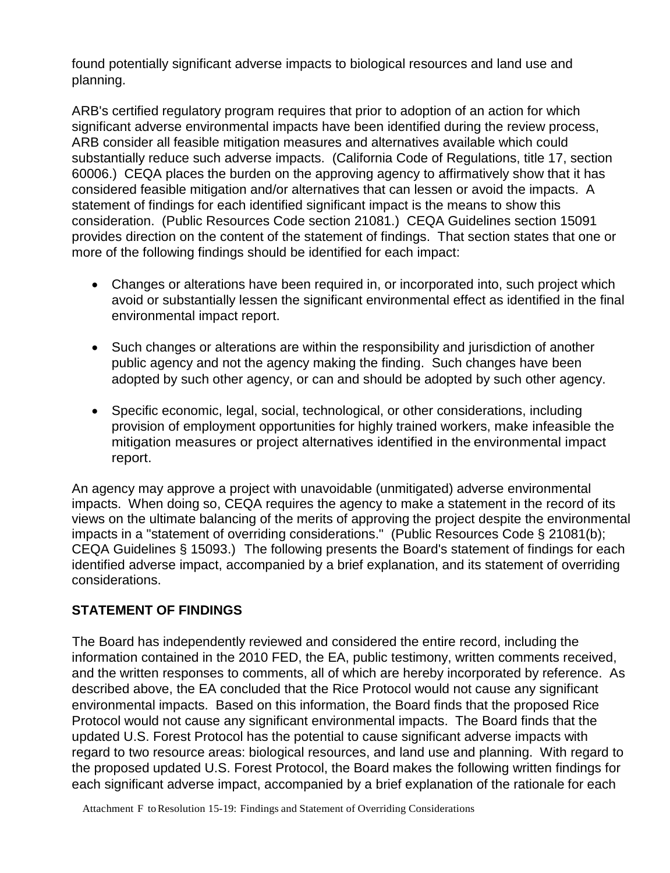found potentially significant adverse impacts to biological resources and land use and planning.

ARB's certified regulatory program requires that prior to adoption of an action for which significant adverse environmental impacts have been identified during the review process, ARB consider all feasible mitigation measures and alternatives available which could substantially reduce such adverse impacts. (California Code of Regulations, title 17, section 60006.) CEQA places the burden on the approving agency to affirmatively show that it has considered feasible mitigation and/or alternatives that can lessen or avoid the impacts. A statement of findings for each identified significant impact is the means to show this consideration. (Public Resources Code section 21081.) CEQA Guidelines section 15091 provides direction on the content of the statement of findings. That section states that one or more of the following findings should be identified for each impact:

- Changes or alterations have been required in, or incorporated into, such project which avoid or substantially lessen the significant environmental effect as identified in the final environmental impact report.
- Such changes or alterations are within the responsibility and jurisdiction of another public agency and not the agency making the finding. Such changes have been adopted by such other agency, or can and should be adopted by such other agency.
- Specific economic, legal, social, technological, or other considerations, including provision of employment opportunities for highly trained workers, make infeasible the mitigation measures or project alternatives identified in the environmental impact report.

An agency may approve a project with unavoidable (unmitigated) adverse environmental impacts. When doing so, CEQA requires the agency to make a statement in the record of its views on the ultimate balancing of the merits of approving the project despite the environmental impacts in a "statement of overriding considerations." (Public Resources Code § 21081(b); CEQA Guidelines § 15093.) The following presents the Board's statement of findings for each identified adverse impact, accompanied by a brief explanation, and its statement of overriding considerations.

## **STATEMENT OF FINDINGS**

The Board has independently reviewed and considered the entire record, including the information contained in the 2010 FED, the EA, public testimony, written comments received, and the written responses to comments, all of which are hereby incorporated by reference. As described above, the EA concluded that the Rice Protocol would not cause any significant environmental impacts. Based on this information, the Board finds that the proposed Rice Protocol would not cause any significant environmental impacts. The Board finds that the updated U.S. Forest Protocol has the potential to cause significant adverse impacts with regard to two resource areas: biological resources, and land use and planning. With regard to the proposed updated U.S. Forest Protocol, the Board makes the following written findings for each significant adverse impact, accompanied by a brief explanation of the rationale for each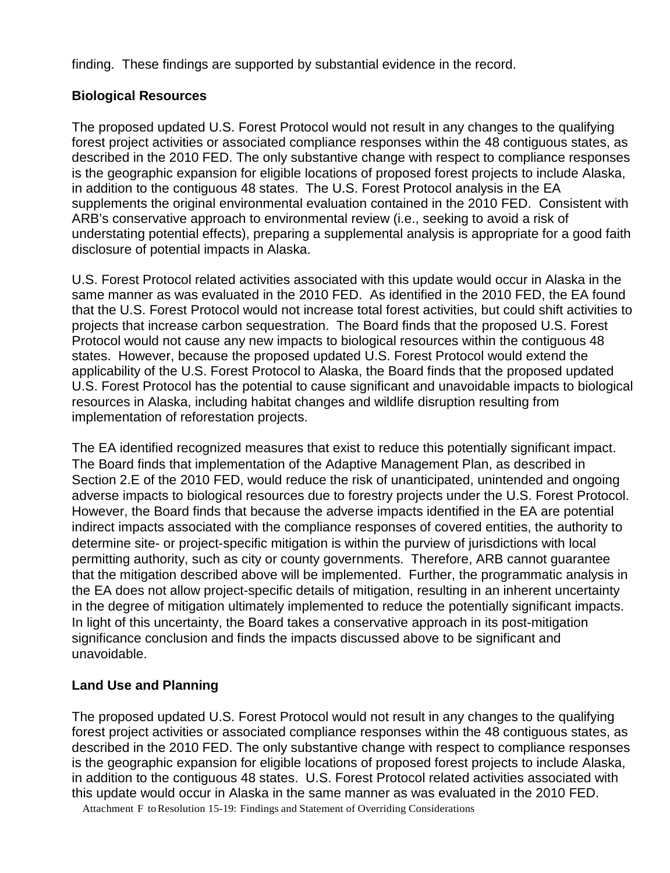finding. These findings are supported by substantial evidence in the record.

#### **Biological Resources**

The proposed updated U.S. Forest Protocol would not result in any changes to the qualifying forest project activities or associated compliance responses within the 48 contiguous states, as described in the 2010 FED. The only substantive change with respect to compliance responses is the geographic expansion for eligible locations of proposed forest projects to include Alaska, in addition to the contiguous 48 states. The U.S. Forest Protocol analysis in the EA supplements the original environmental evaluation contained in the 2010 FED. Consistent with ARB's conservative approach to environmental review (i.e., seeking to avoid a risk of understating potential effects), preparing a supplemental analysis is appropriate for a good faith disclosure of potential impacts in Alaska.

U.S. Forest Protocol related activities associated with this update would occur in Alaska in the same manner as was evaluated in the 2010 FED. As identified in the 2010 FED, the EA found that the U.S. Forest Protocol would not increase total forest activities, but could shift activities to projects that increase carbon sequestration. The Board finds that the proposed U.S. Forest Protocol would not cause any new impacts to biological resources within the contiguous 48 states. However, because the proposed updated U.S. Forest Protocol would extend the applicability of the U.S. Forest Protocol to Alaska, the Board finds that the proposed updated U.S. Forest Protocol has the potential to cause significant and unavoidable impacts to biological resources in Alaska, including habitat changes and wildlife disruption resulting from implementation of reforestation projects.

The EA identified recognized measures that exist to reduce this potentially significant impact. The Board finds that implementation of the Adaptive Management Plan, as described in Section 2.E of the 2010 FED, would reduce the risk of unanticipated, unintended and ongoing adverse impacts to biological resources due to forestry projects under the U.S. Forest Protocol. However, the Board finds that because the adverse impacts identified in the EA are potential indirect impacts associated with the compliance responses of covered entities, the authority to determine site- or project-specific mitigation is within the purview of jurisdictions with local permitting authority, such as city or county governments. Therefore, ARB cannot guarantee that the mitigation described above will be implemented. Further, the programmatic analysis in the EA does not allow project-specific details of mitigation, resulting in an inherent uncertainty in the degree of mitigation ultimately implemented to reduce the potentially significant impacts. In light of this uncertainty, the Board takes a conservative approach in its post-mitigation significance conclusion and finds the impacts discussed above to be significant and unavoidable.

## **Land Use and Planning**

The proposed updated U.S. Forest Protocol would not result in any changes to the qualifying forest project activities or associated compliance responses within the 48 contiguous states, as described in the 2010 FED. The only substantive change with respect to compliance responses is the geographic expansion for eligible locations of proposed forest projects to include Alaska, in addition to the contiguous 48 states. U.S. Forest Protocol related activities associated with this update would occur in Alaska in the same manner as was evaluated in the 2010 FED.

Attachment F toResolution 15-19: Findings and Statement of Overriding Considerations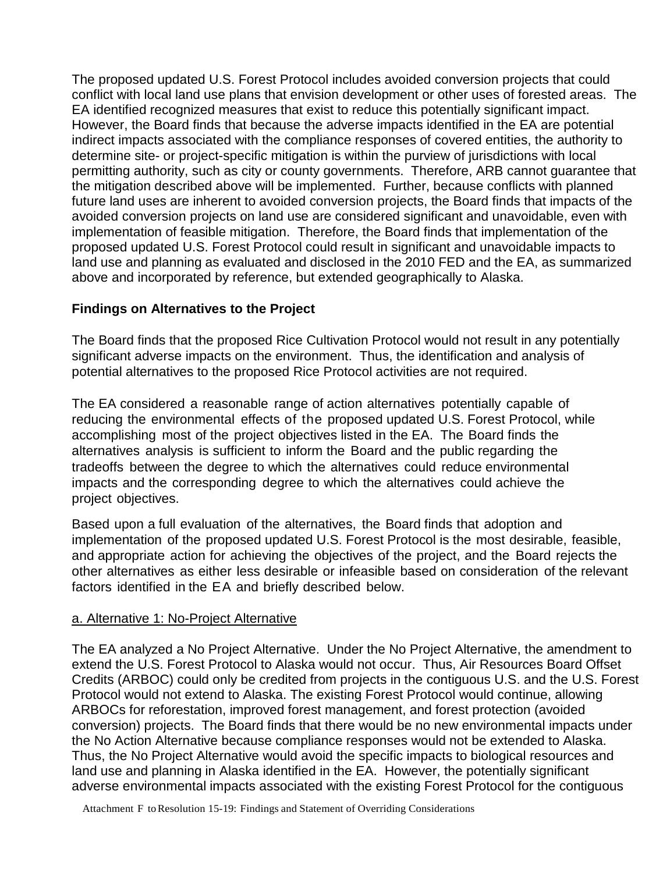The proposed updated U.S. Forest Protocol includes avoided conversion projects that could conflict with local land use plans that envision development or other uses of forested areas. The EA identified recognized measures that exist to reduce this potentially significant impact. However, the Board finds that because the adverse impacts identified in the EA are potential indirect impacts associated with the compliance responses of covered entities, the authority to determine site- or project-specific mitigation is within the purview of jurisdictions with local permitting authority, such as city or county governments. Therefore, ARB cannot guarantee that the mitigation described above will be implemented. Further, because conflicts with planned future land uses are inherent to avoided conversion projects, the Board finds that impacts of the avoided conversion projects on land use are considered significant and unavoidable, even with implementation of feasible mitigation. Therefore, the Board finds that implementation of the proposed updated U.S. Forest Protocol could result in significant and unavoidable impacts to land use and planning as evaluated and disclosed in the 2010 FED and the EA, as summarized above and incorporated by reference, but extended geographically to Alaska.

## **Findings on Alternatives to the Project**

The Board finds that the proposed Rice Cultivation Protocol would not result in any potentially significant adverse impacts on the environment. Thus, the identification and analysis of potential alternatives to the proposed Rice Protocol activities are not required.

The EA considered a reasonable range of action alternatives potentially capable of reducing the environmental effects of the proposed updated U.S. Forest Protocol, while accomplishing most of the project objectives listed in the EA. The Board finds the alternatives analysis is sufficient to inform the Board and the public regarding the tradeoffs between the degree to which the alternatives could reduce environmental impacts and the corresponding degree to which the alternatives could achieve the project objectives.

Based upon a full evaluation of the alternatives, the Board finds that adoption and implementation of the proposed updated U.S. Forest Protocol is the most desirable, feasible, and appropriate action for achieving the objectives of the project, and the Board rejects the other alternatives as either less desirable or infeasible based on consideration of the relevant factors identified in the EA and briefly described below.

#### a. Alternative 1: No-Project Alternative

The EA analyzed a No Project Alternative. Under the No Project Alternative, the amendment to extend the U.S. Forest Protocol to Alaska would not occur. Thus, Air Resources Board Offset Credits (ARBOC) could only be credited from projects in the contiguous U.S. and the U.S. Forest Protocol would not extend to Alaska. The existing Forest Protocol would continue, allowing ARBOCs for reforestation, improved forest management, and forest protection (avoided conversion) projects. The Board finds that there would be no new environmental impacts under the No Action Alternative because compliance responses would not be extended to Alaska. Thus, the No Project Alternative would avoid the specific impacts to biological resources and land use and planning in Alaska identified in the EA. However, the potentially significant adverse environmental impacts associated with the existing Forest Protocol for the contiguous

Attachment F toResolution 15-19: Findings and Statement of Overriding Considerations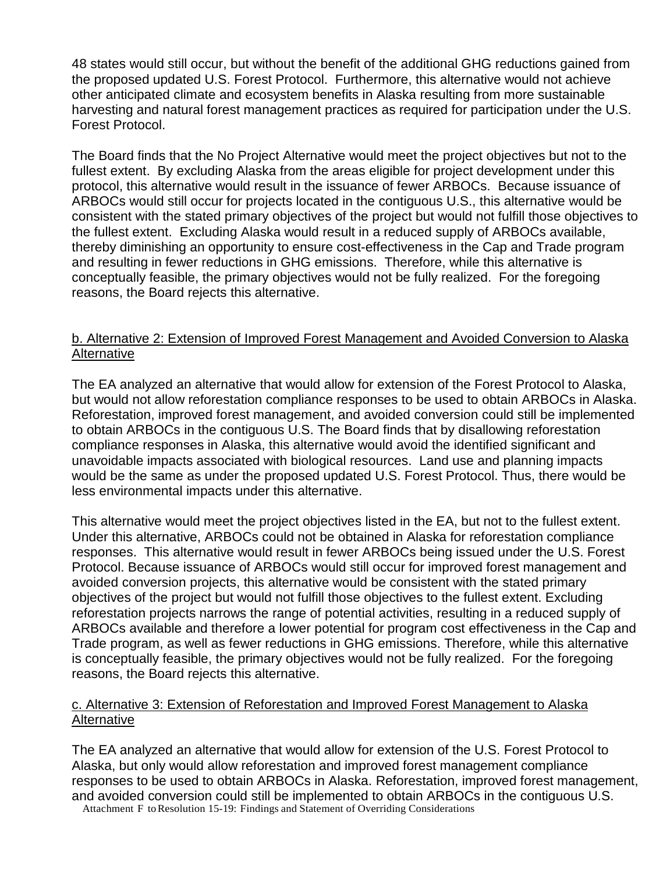48 states would still occur, but without the benefit of the additional GHG reductions gained from the proposed updated U.S. Forest Protocol. Furthermore, this alternative would not achieve other anticipated climate and ecosystem benefits in Alaska resulting from more sustainable harvesting and natural forest management practices as required for participation under the U.S. Forest Protocol.

The Board finds that the No Project Alternative would meet the project objectives but not to the fullest extent. By excluding Alaska from the areas eligible for project development under this protocol, this alternative would result in the issuance of fewer ARBOCs. Because issuance of ARBOCs would still occur for projects located in the contiguous U.S., this alternative would be consistent with the stated primary objectives of the project but would not fulfill those objectives to the fullest extent. Excluding Alaska would result in a reduced supply of ARBOCs available, thereby diminishing an opportunity to ensure cost-effectiveness in the Cap and Trade program and resulting in fewer reductions in GHG emissions. Therefore, while this alternative is conceptually feasible, the primary objectives would not be fully realized. For the foregoing reasons, the Board rejects this alternative.

#### b. Alternative 2: Extension of Improved Forest Management and Avoided Conversion to Alaska Alternative

The EA analyzed an alternative that would allow for extension of the Forest Protocol to Alaska, but would not allow reforestation compliance responses to be used to obtain ARBOCs in Alaska. Reforestation, improved forest management, and avoided conversion could still be implemented to obtain ARBOCs in the contiguous U.S. The Board finds that by disallowing reforestation compliance responses in Alaska, this alternative would avoid the identified significant and unavoidable impacts associated with biological resources. Land use and planning impacts would be the same as under the proposed updated U.S. Forest Protocol. Thus, there would be less environmental impacts under this alternative.

This alternative would meet the project objectives listed in the EA, but not to the fullest extent. Under this alternative, ARBOCs could not be obtained in Alaska for reforestation compliance responses. This alternative would result in fewer ARBOCs being issued under the U.S. Forest Protocol. Because issuance of ARBOCs would still occur for improved forest management and avoided conversion projects, this alternative would be consistent with the stated primary objectives of the project but would not fulfill those objectives to the fullest extent. Excluding reforestation projects narrows the range of potential activities, resulting in a reduced supply of ARBOCs available and therefore a lower potential for program cost effectiveness in the Cap and Trade program, as well as fewer reductions in GHG emissions. Therefore, while this alternative is conceptually feasible, the primary objectives would not be fully realized. For the foregoing reasons, the Board rejects this alternative.

#### c. Alternative 3: Extension of Reforestation and Improved Forest Management to Alaska Alternative

Attachment F toResolution 15-19: Findings and Statement of Overriding Considerations The EA analyzed an alternative that would allow for extension of the U.S. Forest Protocol to Alaska, but only would allow reforestation and improved forest management compliance responses to be used to obtain ARBOCs in Alaska. Reforestation, improved forest management, and avoided conversion could still be implemented to obtain ARBOCs in the contiguous U.S.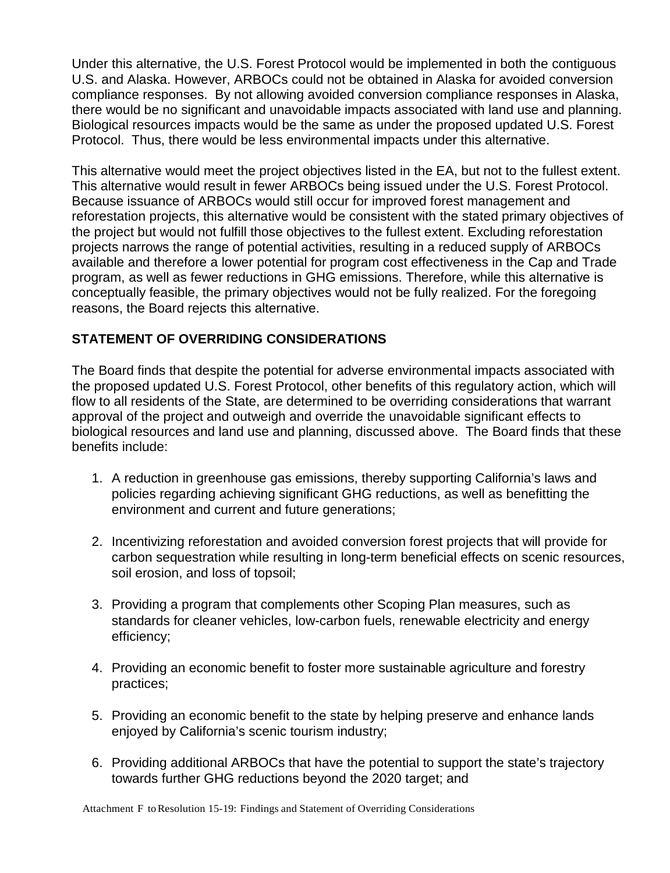Under this alternative, the U.S. Forest Protocol would be implemented in both the contiguous U.S. and Alaska. However, ARBOCs could not be obtained in Alaska for avoided conversion compliance responses. By not allowing avoided conversion compliance responses in Alaska, there would be no significant and unavoidable impacts associated with land use and planning. Biological resources impacts would be the same as under the proposed updated U.S. Forest Protocol. Thus, there would be less environmental impacts under this alternative.

This alternative would meet the project objectives listed in the EA, but not to the fullest extent. This alternative would result in fewer ARBOCs being issued under the U.S. Forest Protocol. Because issuance of ARBOCs would still occur for improved forest management and reforestation projects, this alternative would be consistent with the stated primary objectives of the project but would not fulfill those objectives to the fullest extent. Excluding reforestation projects narrows the range of potential activities, resulting in a reduced supply of ARBOCs available and therefore a lower potential for program cost effectiveness in the Cap and Trade program, as well as fewer reductions in GHG emissions. Therefore, while this alternative is conceptually feasible, the primary objectives would not be fully realized. For the foregoing reasons, the Board rejects this alternative.

# **STATEMENT OF OVERRIDING CONSIDERATIONS**

The Board finds that despite the potential for adverse environmental impacts associated with the proposed updated U.S. Forest Protocol, other benefits of this regulatory action, which will flow to all residents of the State, are determined to be overriding considerations that warrant approval of the project and outweigh and override the unavoidable significant effects to biological resources and land use and planning, discussed above. The Board finds that these benefits include:

- 1. A reduction in greenhouse gas emissions, thereby supporting California's laws and policies regarding achieving significant GHG reductions, as well as benefitting the environment and current and future generations;
- 2. Incentivizing reforestation and avoided conversion forest projects that will provide for carbon sequestration while resulting in long-term beneficial effects on scenic resources, soil erosion, and loss of topsoil;
- 3. Providing a program that complements other Scoping Plan measures, such as standards for cleaner vehicles, low-carbon fuels, renewable electricity and energy efficiency;
- 4. Providing an economic benefit to foster more sustainable agriculture and forestry practices;
- 5. Providing an economic benefit to the state by helping preserve and enhance lands enjoyed by California's scenic tourism industry;
- 6. Providing additional ARBOCs that have the potential to support the state's trajectory towards further GHG reductions beyond the 2020 target; and